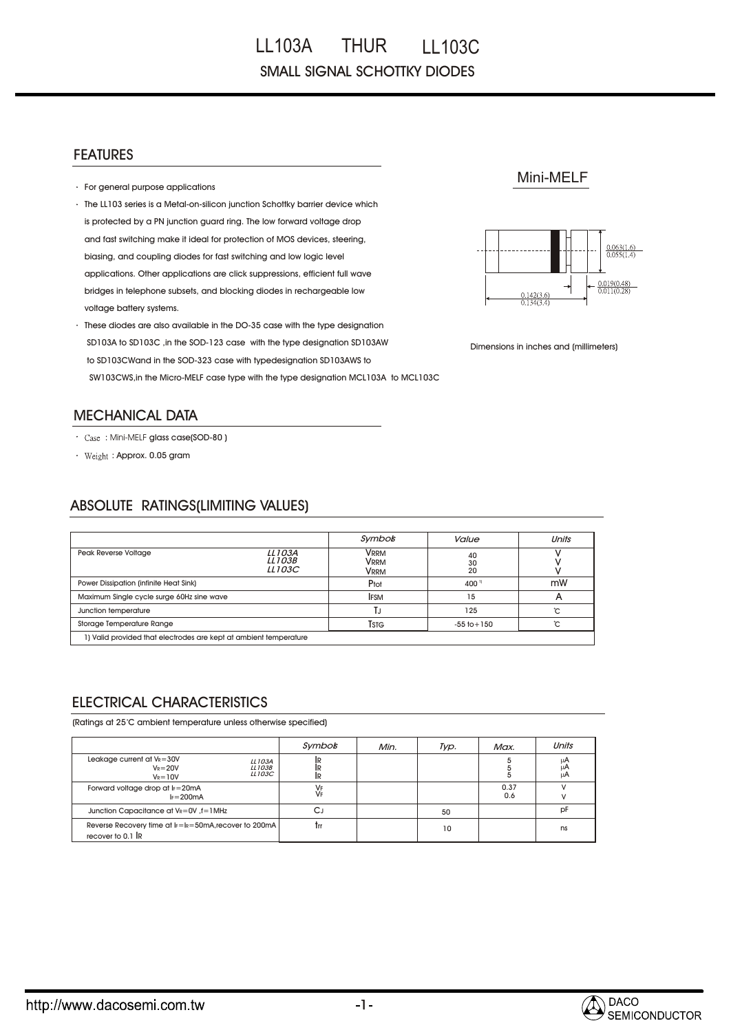## FEATURES

- For general purpose applications
- The LL103 series is a Metal-on-silicon junction Schottky barrier device which is protected by a PN junction guard ring. The low forward voltage drop and fast switching make it ideal for protection of MOS devices, steering, biasing, and coupling diodes for fast switching and low logic level applications. Other applications are click suppressions, efficient full wave bridges in telephone subsets, and blocking diodes in rechargeable low voltage battery systems.
- These diodes are also available in the DO-35 case with the type designation SD103A to SD103C ,in the SOD-123 case with the type designation SD103AW to SD103CWand in the SOD-323 case with typedesignation SD103AWS to SW103CWS,in the Micro-MELF case type with the type designation MCL103A to MCL103C

## MECHANICAL DATA

- : Mini-MELF glass case(SOD-80 )
- : Approx. 0.05 gram

## ABSOLUTE RATINGS(LIMITING VALUES)

|                                                                   |                              | Symbos               | Value             | Units |
|-------------------------------------------------------------------|------------------------------|----------------------|-------------------|-------|
| Peak Reverse Voltage                                              | LL 103A<br>LL 103B<br>LL103C | Vrrm<br>Vrrm<br>Vrrm | 40<br>30<br>20    |       |
| Power Dissipation (infinite Heat Sink)                            |                              | Ptot                 | 400 <sup>11</sup> | mW    |
| Maximum Single cycle surge 60Hz sine wave                         |                              | <b>IFSM</b>          | 15                |       |
| Junction temperature                                              |                              |                      | 125               | ົ     |
| Storage Temperature Range                                         |                              | Tstg                 | $-55$ to $+150$   | ∽     |
| 1) Valid provided that electrodes are kept at ambient temperature |                              |                      |                   |       |

1) Valid provided that electrodes are kept at ambient temperature

## ELECTRICAL CHARACTERISTICS

(Ratings at 25 C ambient temperature unless otherwise specified)

|                                                                                            | Symbob         | Min. | Typ. | Max.        | Units         |
|--------------------------------------------------------------------------------------------|----------------|------|------|-------------|---------------|
| Leakage current at $V_R = 30V$<br>LL103A<br>LL103B<br>$V_R = 20V$<br>LL103C<br>$V_R = 10V$ | IR<br>IR<br>IR |      |      |             | $\mu$ A<br>μA |
| Forward voltage drop at $k = 20$ mA<br>$I_F = 200mA$                                       | VF<br>VF       |      |      | 0.37<br>0.6 |               |
| Junction Capacitance at VR=0V, f=1MHz                                                      | لى             |      | 50   |             | pF            |
| Reverse Recovery time at $k = k = 50$ mA, recover to 200mA<br>recover to $0.1 \, \text{R}$ | Trr            |      | 10   |             | ns            |





Dimensions in inches and (millimeters)